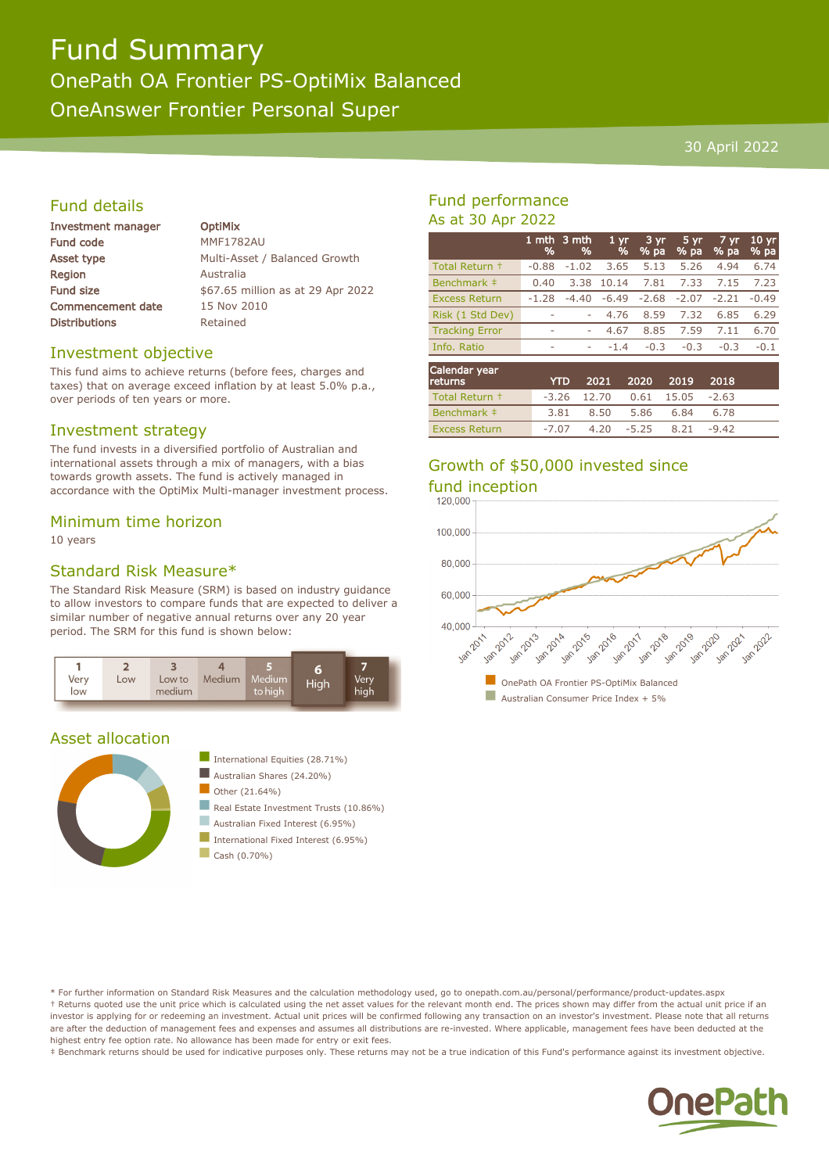# Fund Summary OnePath OA Frontier PS-OptiMix Balanced OneAnswer Frontier Personal Super

#### 30 April 2022

# Fund details

| <b>Investment manager</b> | <b>OptiMix</b>                    |
|---------------------------|-----------------------------------|
| <b>Fund code</b>          | <b>MMF1782AU</b>                  |
| Asset type                | Multi-Asset / Balanced Growth     |
| <b>Region</b>             | Australia                         |
| <b>Fund size</b>          | \$67.65 million as at 29 Apr 2022 |
| <b>Commencement date</b>  | 15 Nov 2010                       |
| <b>Distributions</b>      | Retained                          |
|                           |                                   |

## Investment objective

This fund aims to achieve returns (before fees, charges and taxes) that on average exceed inflation by at least 5.0% p.a., over periods of ten years or more.

#### Investment strategy

The fund invests in a diversified portfolio of Australian and international assets through a mix of managers, with a bias towards growth assets. The fund is actively managed in accordance with the OptiMix Multi-manager investment process.

#### Minimum time horizon

10 years

## Standard Risk Measure\*

The Standard Risk Measure (SRM) is based on industry guidance to allow investors to compare funds that are expected to deliver a similar number of negative annual returns over any 20 year period. The SRM for this fund is shown below:



## Asset allocation





- International Fixed Interest (6.95%)
- $\Box$  Cash (0.70%)

# Fund performance As at 30 Apr 2022

|                       | %       | 1 mth 3 mth<br>% | 1 <sub>yr</sub><br>% | 3 yr.<br>% pa | 5 yr<br>$%$ pa | 7 yr<br>% pa | $10 \,\mathrm{yr}$<br>% pa |
|-----------------------|---------|------------------|----------------------|---------------|----------------|--------------|----------------------------|
| Total Return +        | $-0.88$ | $-1.02$          | 3.65                 | 5.13          | 5.26           | 4.94         | 6.74                       |
| Benchmark ‡           | 0.40    | 3.38             | 10.14                | 7.81          | 7.33           | 7.15         | 7.23                       |
| <b>Excess Return</b>  | $-1.28$ | $-4.40$          | $-6.49$              | $-2.68$       | $-2.07$        | $-2.21$      | $-0.49$                    |
| Risk (1 Std Dev)      |         | ۰                | 4.76                 | 8.59          | 7.32           | 6.85         | 6.29                       |
| <b>Tracking Error</b> | ۰       | ۰                | 4.67                 | 8.85          | 7.59           | 7.11         | 6.70                       |
| Info. Ratio           | ۰       | ۰                | $-1.4$               | $-0.3$        | $-0.3$         | $-0.3$       | $-0.1$                     |
| Calendar year         |         |                  |                      |               |                |              |                            |

| Calendar year<br><b>returns</b> | <b>YTD</b> |                                  | 2021 2020 2019 2018 |         |  |
|---------------------------------|------------|----------------------------------|---------------------|---------|--|
| Total Return +                  |            | $-3.26$ 12.70 0.61 15.05 $-2.63$ |                     |         |  |
| Benchmark #                     |            | 3.81 8.50 5.86 6.84              |                     | -6.78   |  |
| <b>Excess Return</b>            |            | $-7.07$ $4.20$ $-5.25$ $8.21$    |                     | $-9.42$ |  |

# Growth of \$50,000 invested since



\* For further information on Standard Risk Measures and the calculation methodology used, go to onepath.com.au/personal/performance/product-updates.aspx † Returns quoted use the unit price which is calculated using the net asset values for the relevant month end. The prices shown may differ from the actual unit price if an investor is applying for or redeeming an investment. Actual unit prices will be confirmed following any transaction on an investor's investment. Please note that all returns are after the deduction of management fees and expenses and assumes all distributions are re-invested. Where applicable, management fees have been deducted at the highest entry fee option rate. No allowance has been made for entry or exit fees.

‡ Benchmark returns should be used for indicative purposes only. These returns may not be a true indication of this Fund's performance against its investment objective.